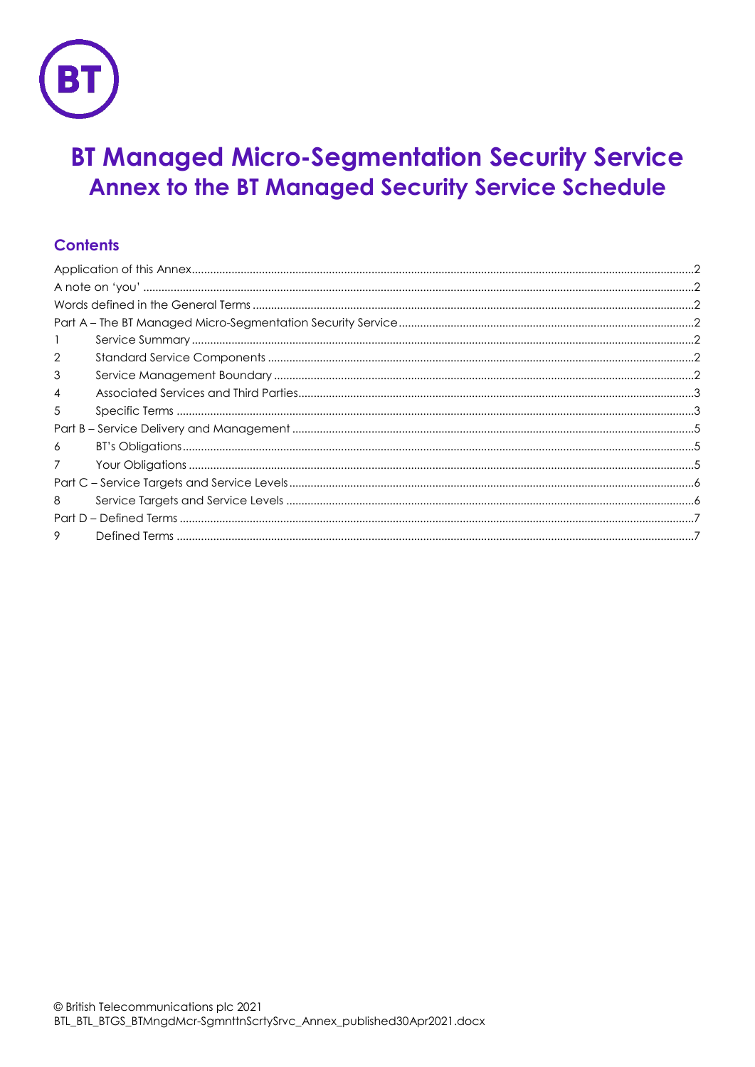

# **BT Managed Micro-Segmentation Security Service** Annex to the BT Managed Security Service Schedule

# **Contents**

| $\overline{2}$ |  |
|----------------|--|
| 3              |  |
| 4              |  |
| 5              |  |
|                |  |
| 6              |  |
| 7              |  |
|                |  |
| 8              |  |
|                |  |
| 9              |  |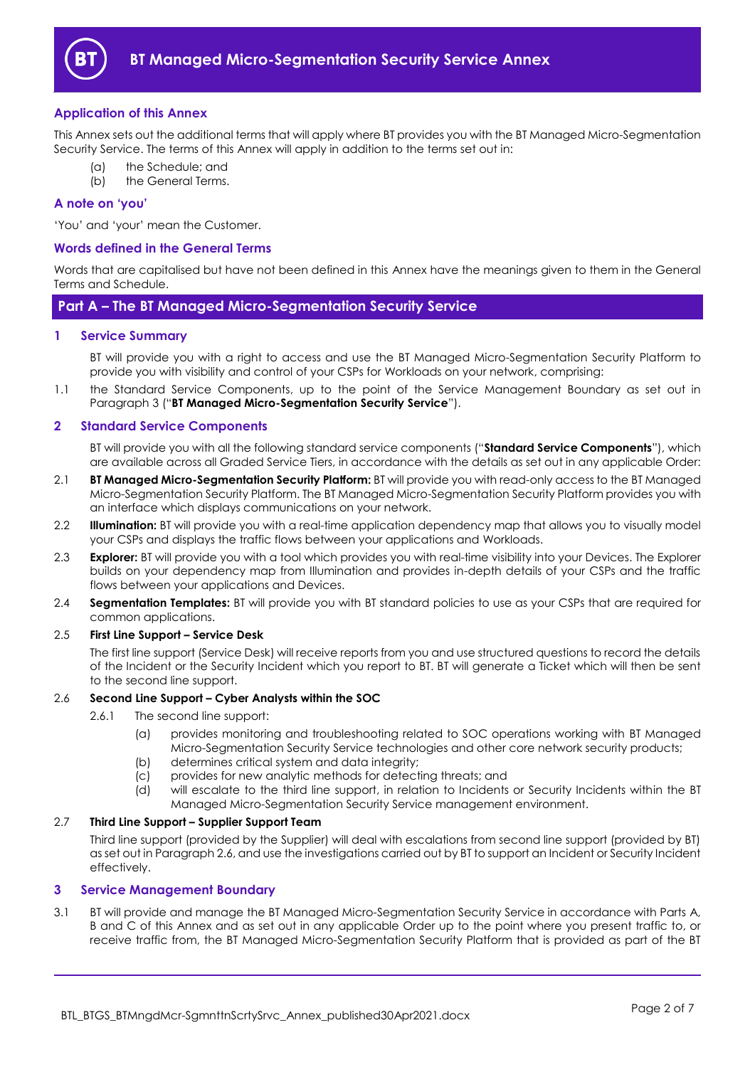

# <span id="page-1-0"></span>**Application of this Annex**

This Annex sets out the additional terms that will apply where BT provides you with the BT Managed Micro-Segmentation Security Service. The terms of this Annex will apply in addition to the terms set out in:

- the Schedule; and
- (b) the General Terms.

# <span id="page-1-1"></span>**A note on 'you'**

'You' and 'your' mean the Customer.

#### <span id="page-1-2"></span>**Words defined in the General Terms**

Words that are capitalised but have not been defined in this Annex have the meanings given to them in the General Terms and Schedule.

# <span id="page-1-3"></span>**Part A – The BT Managed Micro-Segmentation Security Service**

#### <span id="page-1-4"></span>**1 Service Summary**

BT will provide you with a right to access and use the BT Managed Micro-Segmentation Security Platform to provide you with visibility and control of your CSPs for Workloads on your network, comprising:

1.1 the Standard Service Components, up to the point of the Service Management Boundary as set out in Paragraph [3](#page-1-6) ("**BT Managed Micro-Segmentation Security Service**").

#### <span id="page-1-5"></span>**2 Standard Service Components**

BT will provide you with all the following standard service components ("**Standard Service Components**"), which are available across all Graded Service Tiers, in accordance with the details as set out in any applicable Order:

- <span id="page-1-8"></span>2.1 **BT Managed Micro-Segmentation Security Platform:** BT will provide you with read-only access to the BT Managed Micro-Segmentation Security Platform. The BT Managed Micro-Segmentation Security Platform provides you with an interface which displays communications on your network.
- <span id="page-1-10"></span>2.2 **Illumination:** BT will provide you with a real-time application dependency map that allows you to visually model your CSPs and displays the traffic flows between your applications and Workloads.
- <span id="page-1-9"></span>2.3 **Explorer:** BT will provide you with a tool which provides you with real-time visibility into your Devices. The Explorer builds on your dependency map from Illumination and provides in-depth details of your CSPs and the traffic flows between your applications and Devices.
- <span id="page-1-11"></span>2.4 **Segmentation Templates:** BT will provide you with BT standard policies to use as your CSPs that are required for common applications.

#### 2.5 **First Line Support – Service Desk**

The first line support (Service Desk) will receive reports from you and use structured questions to record the details of the Incident or the Security Incident which you report to BT. BT will generate a Ticket which will then be sent to the second line support.

#### <span id="page-1-7"></span>2.6 **Second Line Support – Cyber Analysts within the SOC**

- 2.6.1 The second line support:
	- (a) provides monitoring and troubleshooting related to SOC operations working with BT Managed Micro-Segmentation Security Service technologies and other core network security products;
	- (b) determines critical system and data integrity;
	- (c) provides for new analytic methods for detecting threats; and
	- (d) will escalate to the third line support, in relation to Incidents or Security Incidents within the BT Managed Micro-Segmentation Security Service management environment.

#### 2.7 **Third Line Support – Supplier Support Team**

Third line support (provided by the Supplier) will deal with escalations from second line support (provided by BT) as set out in Paragraph [2.6,](#page-1-7) and use the investigations carried out by BT to support an Incident or Security Incident effectively.

# <span id="page-1-6"></span>**3 Service Management Boundary**

<span id="page-1-12"></span>3.1 BT will provide and manage the BT Managed Micro-Segmentation Security Service in accordance with Parts A, B and C of this Annex and as set out in any applicable Order up to the point where you present traffic to, or receive traffic from, the BT Managed Micro-Segmentation Security Platform that is provided as part of the BT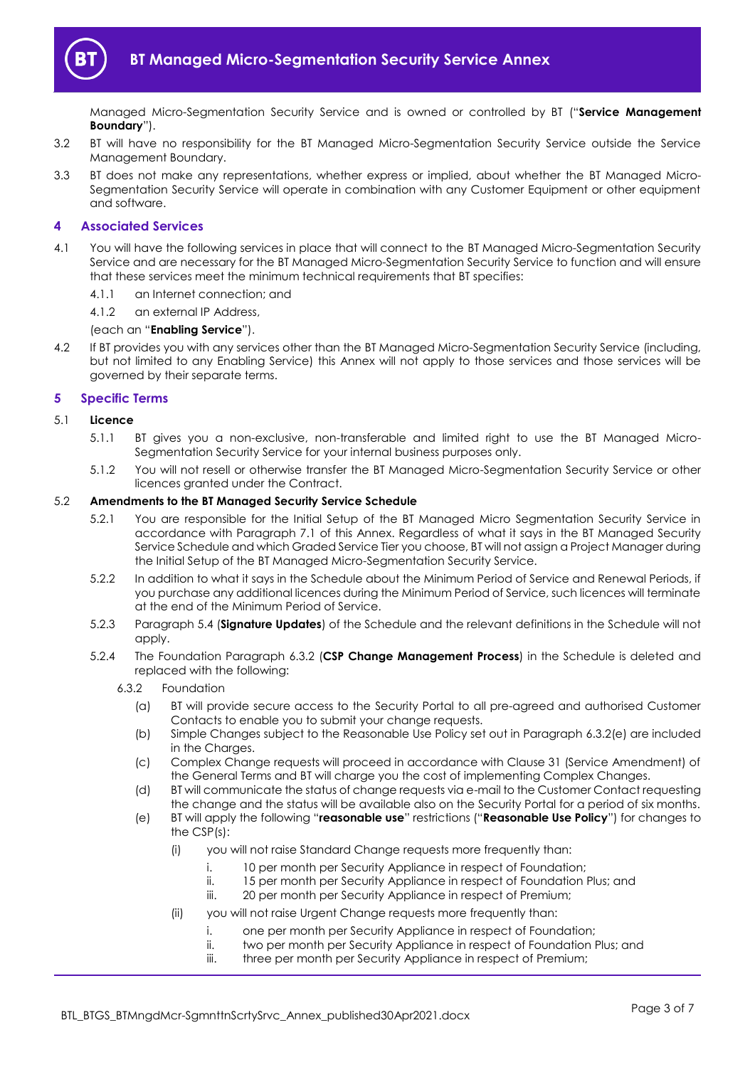

Managed Micro-Segmentation Security Service and is owned or controlled by BT ("**Service Management Boundary**").

- 3.2 BT will have no responsibility for the BT Managed Micro-Segmentation Security Service outside the Service Management Boundary.
- 3.3 BT does not make any representations, whether express or implied, about whether the BT Managed Micro-Segmentation Security Service will operate in combination with any Customer Equipment or other equipment and software.

# <span id="page-2-0"></span>**4 Associated Services**

- 4.1 You will have the following services in place that will connect to the BT Managed Micro-Segmentation Security Service and are necessary for the BT Managed Micro-Segmentation Security Service to function and will ensure that these services meet the minimum technical requirements that BT specifies:
	- 4.1.1 an Internet connection; and

4.1.2 an external IP Address,

# (each an "**Enabling Service**").

4.2 If BT provides you with any services other than the BT Managed Micro-Segmentation Security Service (including, but not limited to any Enabling Service) this Annex will not apply to those services and those services will be governed by their separate terms.

# <span id="page-2-1"></span>**5 Specific Terms**

#### 5.1 **Licence**

- 5.1.1 BT gives you a non-exclusive, non-transferable and limited right to use the BT Managed Micro-Segmentation Security Service for your internal business purposes only.
- 5.1.2 You will not resell or otherwise transfer the BT Managed Micro-Segmentation Security Service or other licences granted under the Contract.

#### 5.2 **Amendments to the BT Managed Security Service Schedule**

- 5.2.1 You are responsible for the Initial Setup of the BT Managed Micro Segmentation Security Service in accordance with Paragraph [7.1](#page-4-3) of this Annex. Regardless of what it says in the BT Managed Security Service Schedule and which Graded Service Tier you choose, BT will not assign a Project Manager during the Initial Setup of the BT Managed Micro-Segmentation Security Service.
- 5.2.2 In addition to what it says in the Schedule about the Minimum Period of Service and Renewal Periods, if you purchase any additional licences during the Minimum Period of Service, such licences will terminate at the end of the Minimum Period of Service.
- 5.2.3 Paragraph 5.4 (**Signature Updates**) of the Schedule and the relevant definitions in the Schedule will not apply.
- <span id="page-2-4"></span><span id="page-2-3"></span><span id="page-2-2"></span>5.2.4 The Foundation Paragraph 6.3.2 (**CSP Change Management Process**) in the Schedule is deleted and replaced with the following:
	- 6.3.2 Foundation
		- (a) BT will provide secure access to the Security Portal to all pre-agreed and authorised Customer Contacts to enable you to submit your change requests.
		- (b) Simple Changes subject to the Reasonable Use Policy set out in Paragraph [6.3.2\(e\)](#page-2-2) are included in the Charges.
		- (c) Complex Change requests will proceed in accordance with Clause 31 (Service Amendment) of the General Terms and BT will charge you the cost of implementing Complex Changes.
		- (d) BT will communicate the status of change requests via e-mail to the Customer Contact requesting the change and the status will be available also on the Security Portal for a period of six months.
		- (e) BT will apply the following "**reasonable use**" restrictions ("**Reasonable Use Policy**") for changes to the CSP(s):
			- (i) you will not raise Standard Change requests more frequently than:
				- i. 10 per month per Security Appliance in respect of Foundation;
					- ii. 15 per month per Security Appliance in respect of Foundation Plus; and
					- iii. 20 per month per Security Appliance in respect of Premium;
			- (ii) vou will not raise Urgent Change requests more frequently than:
				- i. one per month per Security Appliance in respect of Foundation;
					- ii. two per month per Security Appliance in respect of Foundation Plus; and
					- iii. three per month per Security Appliance in respect of Premium;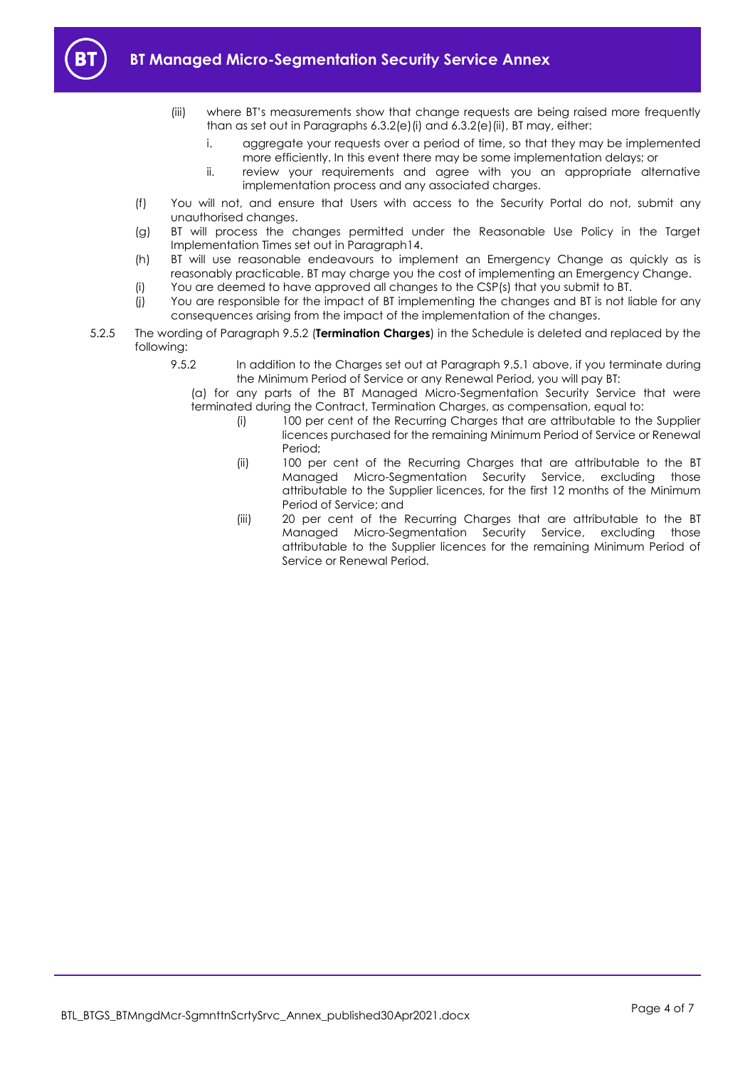

- (iii) where BT's measurements show that change requests are being raised more frequently than as set out in Paragraphs [6.3.2\(e\)\(i\)](#page-2-3) and [6.3.2\(e\)\(ii\),](#page-2-4) BT may, either:
	- i. aggregate your requests over a period of time, so that they may be implemented more efficiently. In this event there may be some implementation delays; or
	- ii. review your requirements and agree with you an appropriate alternative implementation process and any associated charges.
- (f) You will not, and ensure that Users with access to the Security Portal do not, submit any unauthorised changes.
- (g) BT will process the changes permitted under the Reasonable Use Policy in the Target Implementation Times set out in Paragraph14.
- (h) BT will use reasonable endeavours to implement an Emergency Change as quickly as is reasonably practicable. BT may charge you the cost of implementing an Emergency Change.
- (i) You are deemed to have approved all changes to the CSP(s) that you submit to BT.
- (j) You are responsible for the impact of BT implementing the changes and BT is not liable for any consequences arising from the impact of the implementation of the changes.
- 5.2.5 The wording of Paragraph 9.5.2 (**Termination Charges**) in the Schedule is deleted and replaced by the following:
	- 9.5.2 In addition to the Charges set out at Paragraph 9.5.1 above, if you terminate during the Minimum Period of Service or any Renewal Period, you will pay BT:

(a) for any parts of the BT Managed Micro-Segmentation Security Service that were terminated during the Contract, Termination Charges, as compensation, equal to:

- (i) 100 per cent of the Recurring Charges that are attributable to the Supplier licences purchased for the remaining Minimum Period of Service or Renewal Period;
- (ii) 100 per cent of the Recurring Charges that are attributable to the BT Managed Micro-Segmentation Security Service, excluding those attributable to the Supplier licences, for the first 12 months of the Minimum Period of Service; and
- (iii) 20 per cent of the Recurring Charges that are attributable to the BT Managed Micro-Segmentation Security Service, excluding those attributable to the Supplier licences for the remaining Minimum Period of Service or Renewal Period.

BTL\_BTGS\_BTMngdMcr-SgmnttnScrtySrvc\_Annex\_published30Apr2021.docx Page 4 of 7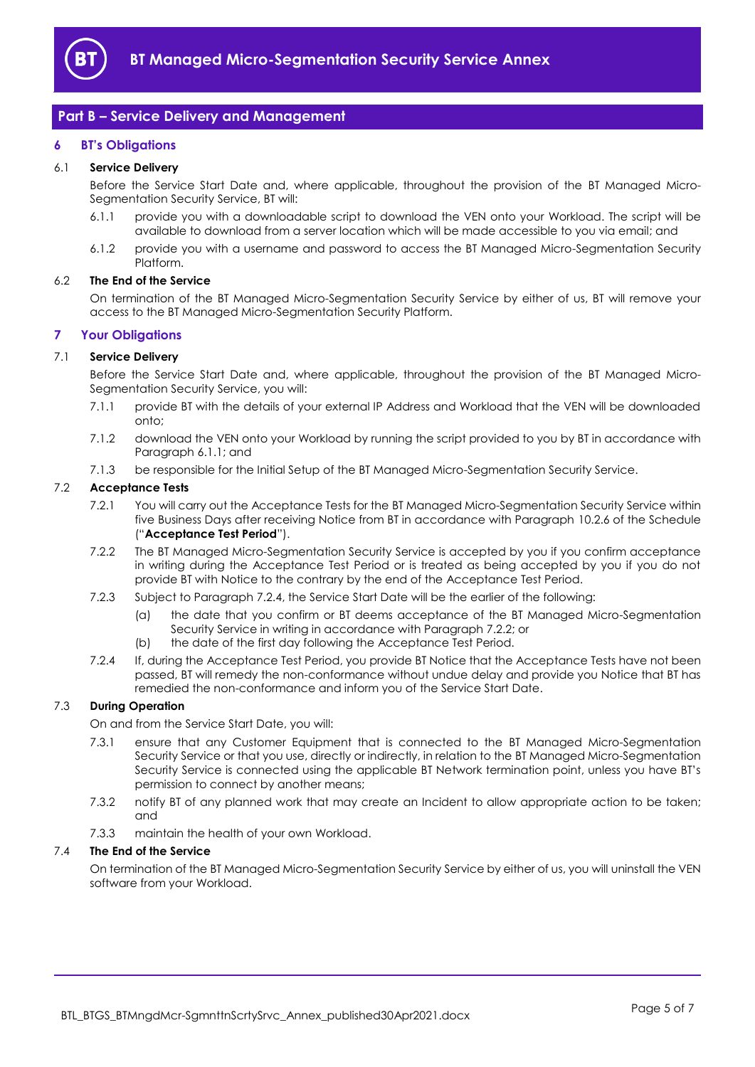

# <span id="page-4-0"></span>**Part B – Service Delivery and Management**

# <span id="page-4-1"></span>**6 BT's Obligations**

#### 6.1 **Service Delivery**

Before the Service Start Date and, where applicable, throughout the provision of the BT Managed Micro-Segmentation Security Service, BT will:

- <span id="page-4-4"></span>6.1.1 provide you with a downloadable script to download the VEN onto your Workload. The script will be available to download from a server location which will be made accessible to you via email; and
- 6.1.2 provide you with a username and password to access the BT Managed Micro-Segmentation Security Platform.

#### 6.2 **The End of the Service**

On termination of the BT Managed Micro-Segmentation Security Service by either of us, BT will remove your access to the BT Managed Micro-Segmentation Security Platform.

# <span id="page-4-2"></span>**7 Your Obligations**

# <span id="page-4-3"></span>7.1 **Service Delivery**

Before the Service Start Date and, where applicable, throughout the provision of the BT Managed Micro-Segmentation Security Service, you will:

- 7.1.1 provide BT with the details of your external IP Address and Workload that the VEN will be downloaded onto;
- 7.1.2 download the VEN onto your Workload by running the script provided to you by BT in accordance with Paragrap[h 6.1.1;](#page-4-4) and
- 7.1.3 be responsible for the Initial Setup of the BT Managed Micro-Segmentation Security Service.

#### <span id="page-4-8"></span><span id="page-4-7"></span>7.2 **Acceptance Tests**

- 7.2.1 You will carry out the Acceptance Tests for the BT Managed Micro-Segmentation Security Service within five Business Days after receiving Notice from BT in accordance with Paragraph 10.2.6 of the Schedule ("**Acceptance Test Period**").
- <span id="page-4-6"></span>7.2.2 The BT Managed Micro-Segmentation Security Service is accepted by you if you confirm acceptance in writing during the Acceptance Test Period or is treated as being accepted by you if you do not provide BT with Notice to the contrary by the end of the Acceptance Test Period.
- 7.2.3 Subject to Paragraph [7.2.4,](#page-4-5) the Service Start Date will be the earlier of the following:
	- (a) the date that you confirm or BT deems acceptance of the BT Managed Micro-Segmentation Security Service in writing in accordance with Paragrap[h 7.2.2;](#page-4-6) or
	- (b) the date of the first day following the Acceptance Test Period.
- <span id="page-4-5"></span>7.2.4 If, during the Acceptance Test Period, you provide BT Notice that the Acceptance Tests have not been passed, BT will remedy the non-conformance without undue delay and provide you Notice that BT has remedied the non-conformance and inform you of the Service Start Date.

# 7.3 **During Operation**

On and from the Service Start Date, you will:

- 7.3.1 ensure that any Customer Equipment that is connected to the BT Managed Micro-Segmentation Security Service or that you use, directly or indirectly, in relation to the BT Managed Micro-Segmentation Security Service is connected using the applicable BT Network termination point, unless you have BT's permission to connect by another means;
- 7.3.2 notify BT of any planned work that may create an Incident to allow appropriate action to be taken; and
- 7.3.3 maintain the health of your own Workload.

# 7.4 **The End of the Service**

On termination of the BT Managed Micro-Segmentation Security Service by either of us, you will uninstall the VEN software from your Workload.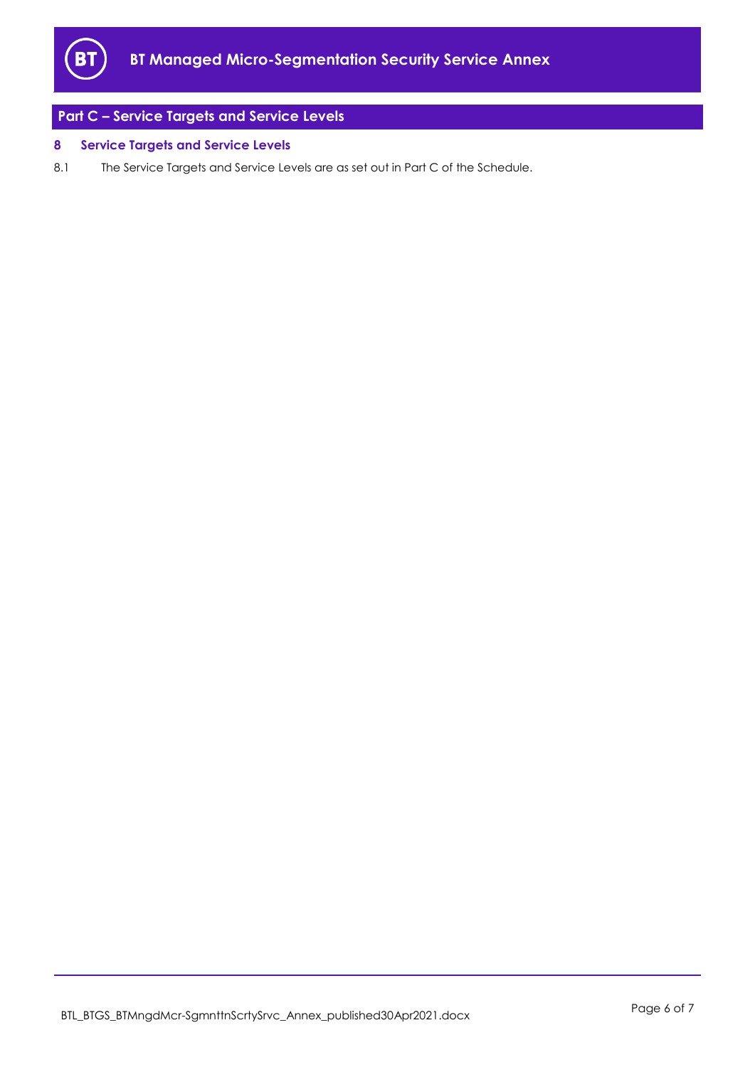

# <span id="page-5-0"></span>**Part C – Service Targets and Service Levels**

# <span id="page-5-1"></span>**8 Service Targets and Service Levels**

8.1 The Service Targets and Service Levels are as set out in Part C of the Schedule.